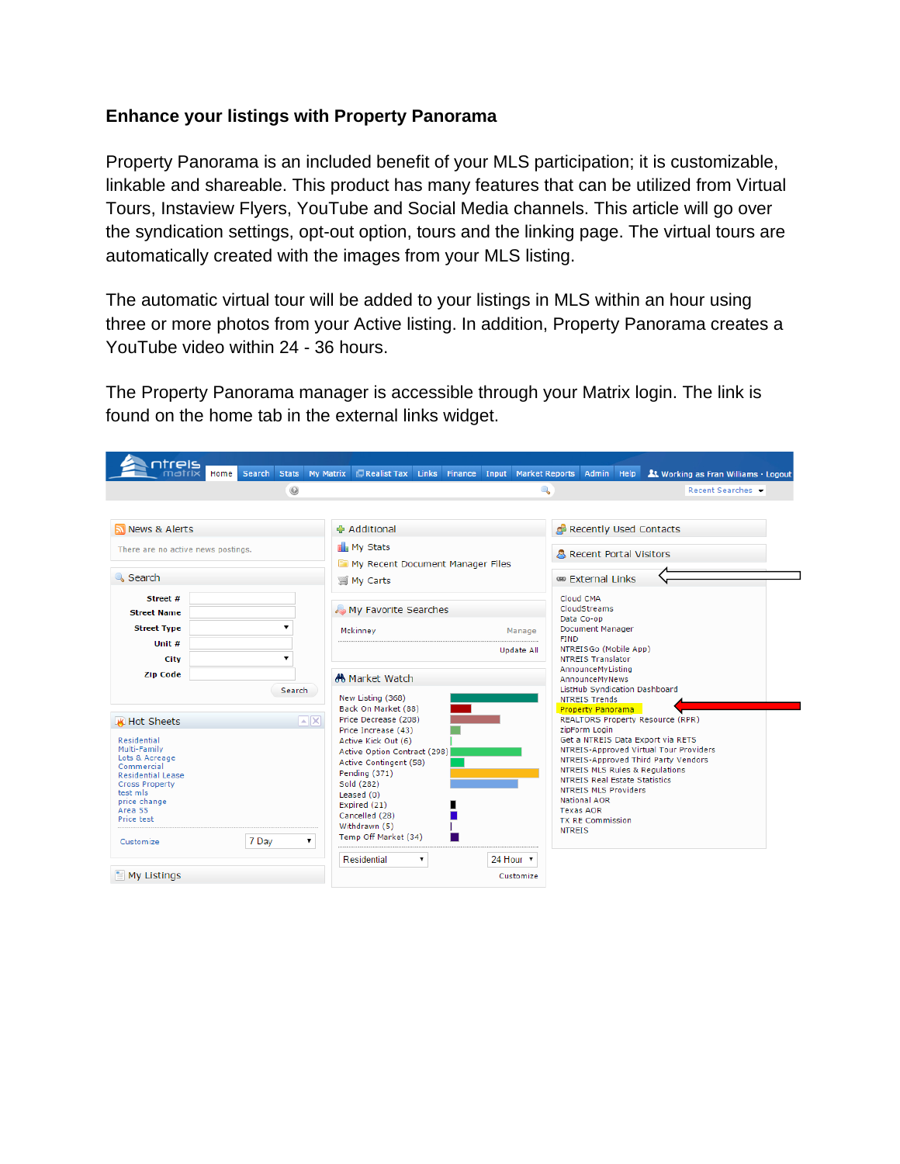## **Enhance your listings with Property Panorama**

Property Panorama is an included benefit of your MLS participation; it is customizable, linkable and shareable. This product has many features that can be utilized from Virtual Tours, Instaview Flyers, YouTube and Social Media channels. This article will go over the syndication settings, opt-out option, tours and the linking page. The virtual tours are automatically created with the images from your MLS listing.

The automatic virtual tour will be added to your listings in MLS within an hour using three or more photos from your Active listing. In addition, Property Panorama creates a YouTube video within 24 - 36 hours.

The Property Panorama manager is accessible through your Matrix login. The link is found on the home tab in the external links widget.

| atreis                                                                                                                                                                                                    |      | Search Stats |         | <b>My Matrix</b>                                                     | Realist Tax Links Finance Input                                                                                                                                                                                                                        |   |  |           | Market Reports Admin Help                                                                                         |                                                                                                                                                                                                                          |  |                                                                                                                                                               |
|-----------------------------------------------------------------------------------------------------------------------------------------------------------------------------------------------------------|------|--------------|---------|----------------------------------------------------------------------|--------------------------------------------------------------------------------------------------------------------------------------------------------------------------------------------------------------------------------------------------------|---|--|-----------|-------------------------------------------------------------------------------------------------------------------|--------------------------------------------------------------------------------------------------------------------------------------------------------------------------------------------------------------------------|--|---------------------------------------------------------------------------------------------------------------------------------------------------------------|
|                                                                                                                                                                                                           | Home |              | $\odot$ |                                                                      |                                                                                                                                                                                                                                                        |   |  |           | Q                                                                                                                 |                                                                                                                                                                                                                          |  | At Working as Fran Williams · Logout<br>Recent Searches                                                                                                       |
|                                                                                                                                                                                                           |      |              |         |                                                                      |                                                                                                                                                                                                                                                        |   |  |           |                                                                                                                   |                                                                                                                                                                                                                          |  |                                                                                                                                                               |
| News & Alerts                                                                                                                                                                                             |      |              |         |                                                                      | ⊕ Additional                                                                                                                                                                                                                                           |   |  |           |                                                                                                                   | Recently Used Contacts                                                                                                                                                                                                   |  |                                                                                                                                                               |
| There are no active news postings.                                                                                                                                                                        |      |              |         | <b>Ill</b> <sub>n</sub> My Stats<br>My Recent Document Manager Files |                                                                                                                                                                                                                                                        |   |  |           | <b>A</b> Recent Portal Visitors                                                                                   |                                                                                                                                                                                                                          |  |                                                                                                                                                               |
| Search                                                                                                                                                                                                    |      |              |         | <b>■ My Carts</b>                                                    |                                                                                                                                                                                                                                                        |   |  |           | <sup>680</sup> External Links                                                                                     |                                                                                                                                                                                                                          |  |                                                                                                                                                               |
| Street #<br><b>Street Name</b><br><b>Street Type</b>                                                                                                                                                      |      |              |         |                                                                      | My Favorite Searches                                                                                                                                                                                                                                   |   |  |           |                                                                                                                   | Cloud CMA<br>CloudStreams<br>Data Co-op                                                                                                                                                                                  |  |                                                                                                                                                               |
| Unit #<br>City                                                                                                                                                                                            |      |              |         |                                                                      | Mckinney<br>Manage<br>Update All                                                                                                                                                                                                                       |   |  |           | <b>Document Manager</b><br><b>FIND</b><br>NTREISGo (Mobile App)<br>NTREIS Translator                              |                                                                                                                                                                                                                          |  |                                                                                                                                                               |
| <b>Zip Code</b><br>Search                                                                                                                                                                                 |      |              |         | AA Market Watch<br>New Listing (368)<br>Back On Market (88)          |                                                                                                                                                                                                                                                        |   |  |           | AnnounceMyListing<br>AnnounceMyNews<br>ListHub Syndication Dashboard<br>NTREIS Trends<br><b>Property Panorama</b> |                                                                                                                                                                                                                          |  |                                                                                                                                                               |
| <b>K</b> Hot Sheets<br>Residential<br>Multi-Family<br>Lots & Acreage<br>Commercial<br><b>Residential Lease</b><br><b>Cross Property</b><br>test mls<br>price change<br>Area 55<br>Price test<br>Customize |      | 7 Day        |         | $ \cdot $ X                                                          | Price Decrease (208)<br>Price Increase (43)<br>Active Kick Out (6)<br>Active Option Contract (298)<br>Active Contingent (58)<br>Pending (371)<br>Sold (282)<br>Leased $(0)$<br>Expired (21)<br>Cancelled (28)<br>Withdrawn (5)<br>Temp Off Market (34) |   |  |           |                                                                                                                   | zipForm Login<br><b>NTREIS MLS Rules &amp; Regulations</b><br><b>NTREIS Real Estate Statistics</b><br><b>NTREIS MLS Providers</b><br><b>National AOR</b><br><b>Texas AOR</b><br><b>TX RE Commission</b><br><b>NTREIS</b> |  | <b>REALTORS Property Resource (RPR)</b><br>Get a NTREIS Data Export via RETS<br>NTREIS-Approved Virtual Tour Providers<br>NTREIS-Approved Third Party Vendors |
| $\equiv$ My Listings                                                                                                                                                                                      |      |              |         |                                                                      | Residential                                                                                                                                                                                                                                            | ▼ |  | 24 Hour v | Customize                                                                                                         |                                                                                                                                                                                                                          |  |                                                                                                                                                               |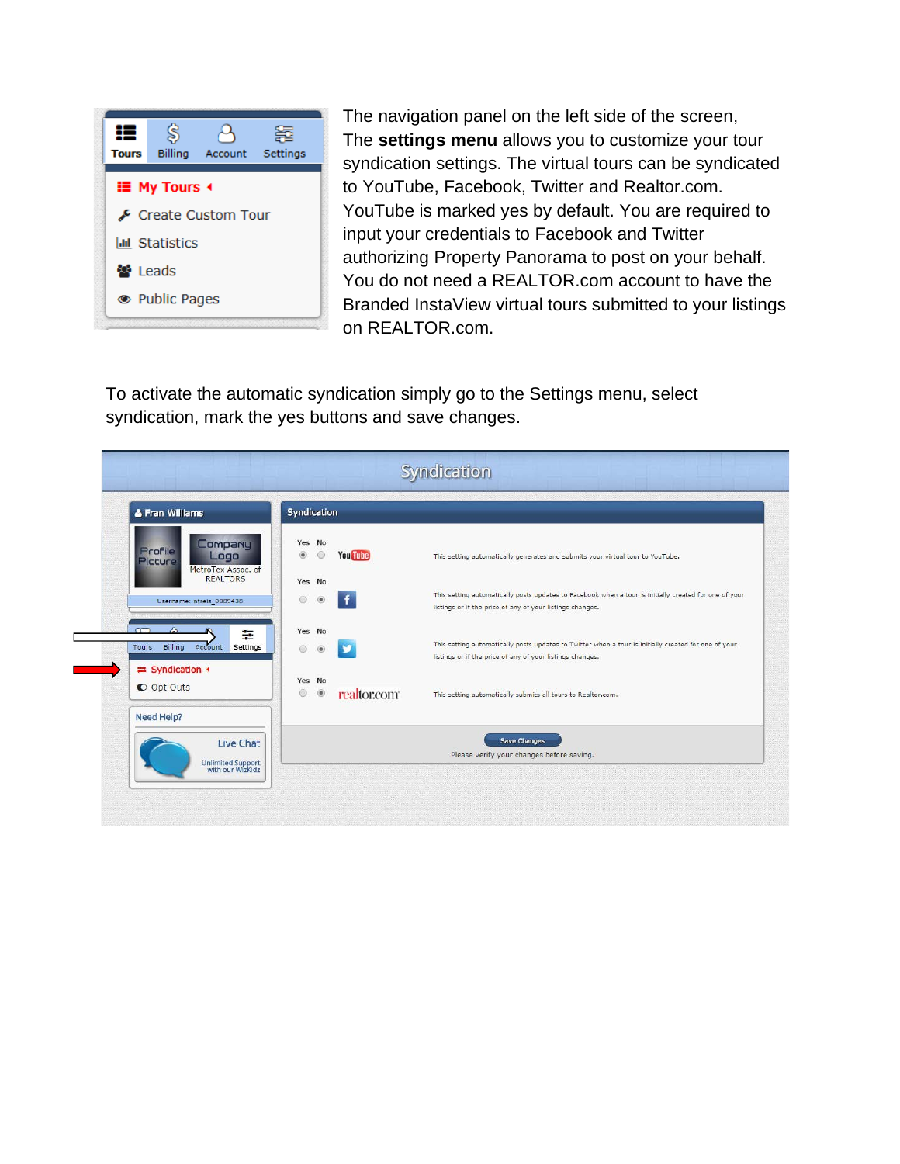

The navigation panel on the left side of the screen, The **settings menu** allows you to customize your tour syndication settings. The virtual tours can be syndicated to YouTube, Facebook, Twitter and Realtor.com. YouTube is marked yes by default. You are required to input your credentials to Facebook and Twitter authorizing Property Panorama to post on your behalf. You do not need a REALTOR.com account to have the Branded InstaView virtual tours submitted to your listings on REALTOR.com.

To activate the automatic syndication simply go to the Settings menu, select syndication, mark the yes buttons and save changes.

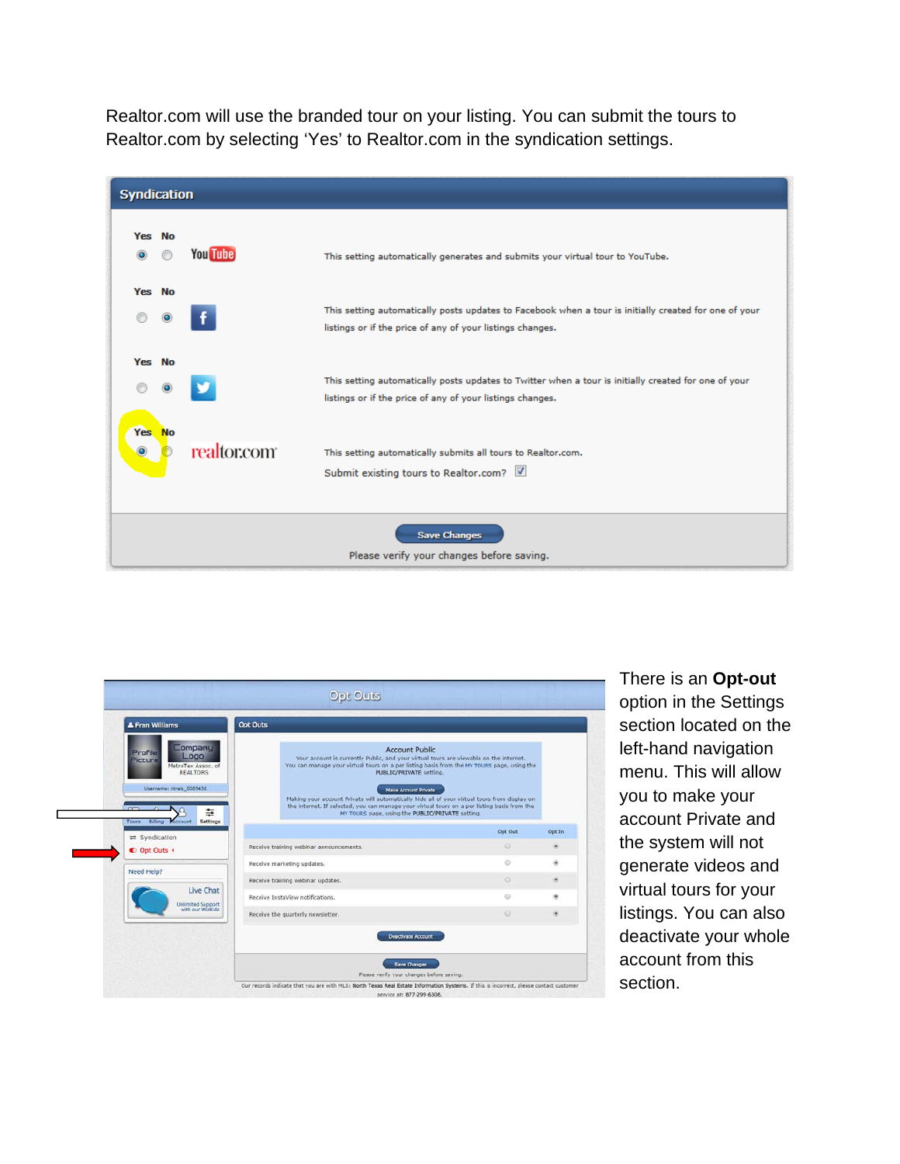Realtor.com will use the branded tour on your listing. You can submit the tours to Realtor.com by selecting 'Yes' to Realtor.com in the syndication settings.

|                              | <b>Syndication</b>                                               |                 |                                                                                                                                                                    |  |  |  |
|------------------------------|------------------------------------------------------------------|-----------------|--------------------------------------------------------------------------------------------------------------------------------------------------------------------|--|--|--|
| Yes No<br>$\bullet$          |                                                                  | <b>You Tube</b> | This setting automatically generates and submits your virtual tour to YouTube.                                                                                     |  |  |  |
| Yes No                       | $\bullet$                                                        |                 | This setting automatically posts updates to Facebook when a tour is initially created for one of your<br>listings or if the price of any of your listings changes. |  |  |  |
| Yes No                       |                                                                  |                 | This setting automatically posts updates to Twitter when a tour is initially created for one of your<br>listings or if the price of any of your listings changes.  |  |  |  |
| <b>Yes</b><br>$\circledcirc$ | <b>No</b>                                                        | realtor.com     | This setting automatically submits all tours to Realtor.com.<br>Submit existing tours to Realtor.com?                                                              |  |  |  |
|                              | <b>Save Changes</b><br>Please verify your changes before saving. |                 |                                                                                                                                                                    |  |  |  |



There is an **Opt-out**  option in the Settings section located on the left-hand navigation menu. This will allow you to make your account Private and the system will not generate videos and virtual tours for your listings. You can also deactivate your whole account from this section.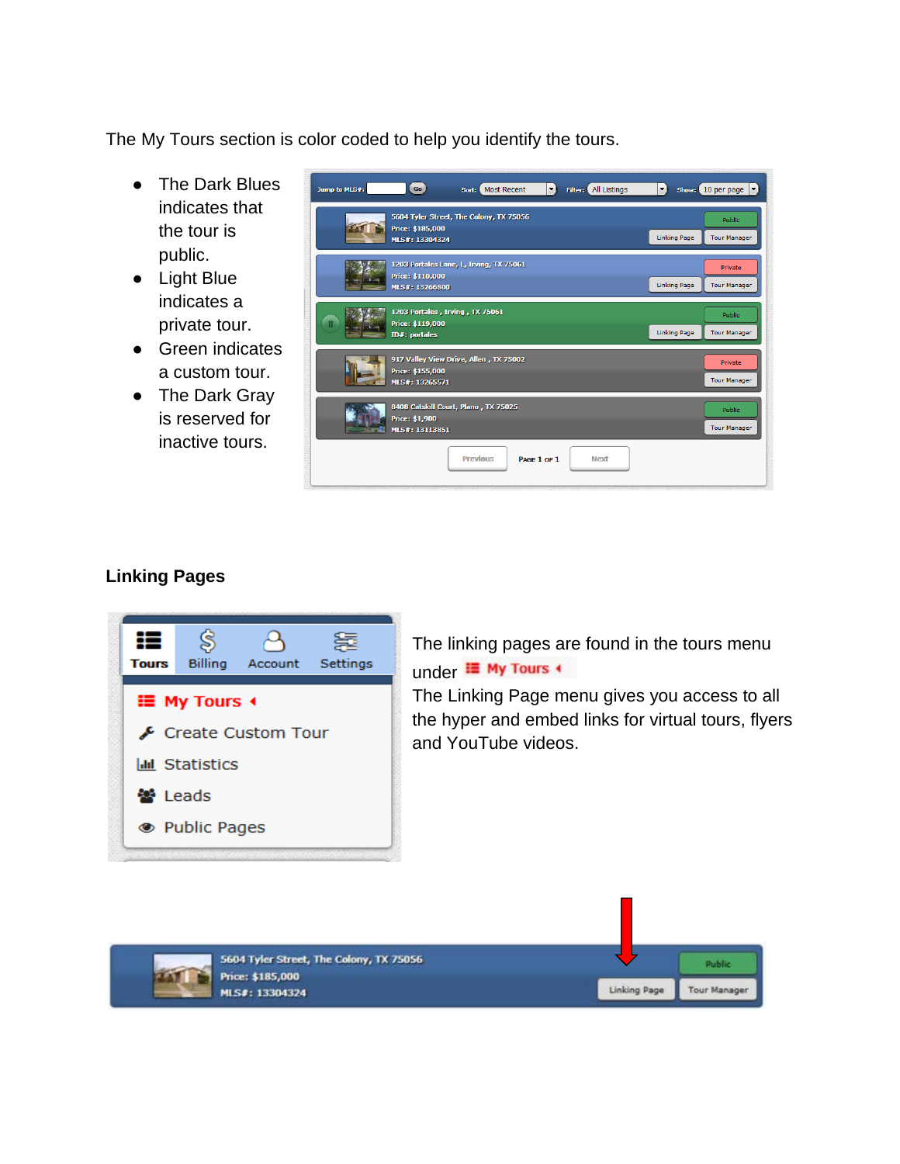The My Tours section is color coded to help you identify the tours.

- The Dark Blues indicates that the tour is public.
- Light Blue indicates a private tour.
- Green indicates a custom tour.
- The Dark Gray is reserved for inactive tours.



## **Linking Pages**



The linking pages are found in the tours menu under <sup>III</sup> My Tours +

The Linking Page menu gives you access to all the hyper and embed links for virtual tours, flyers and YouTube videos.

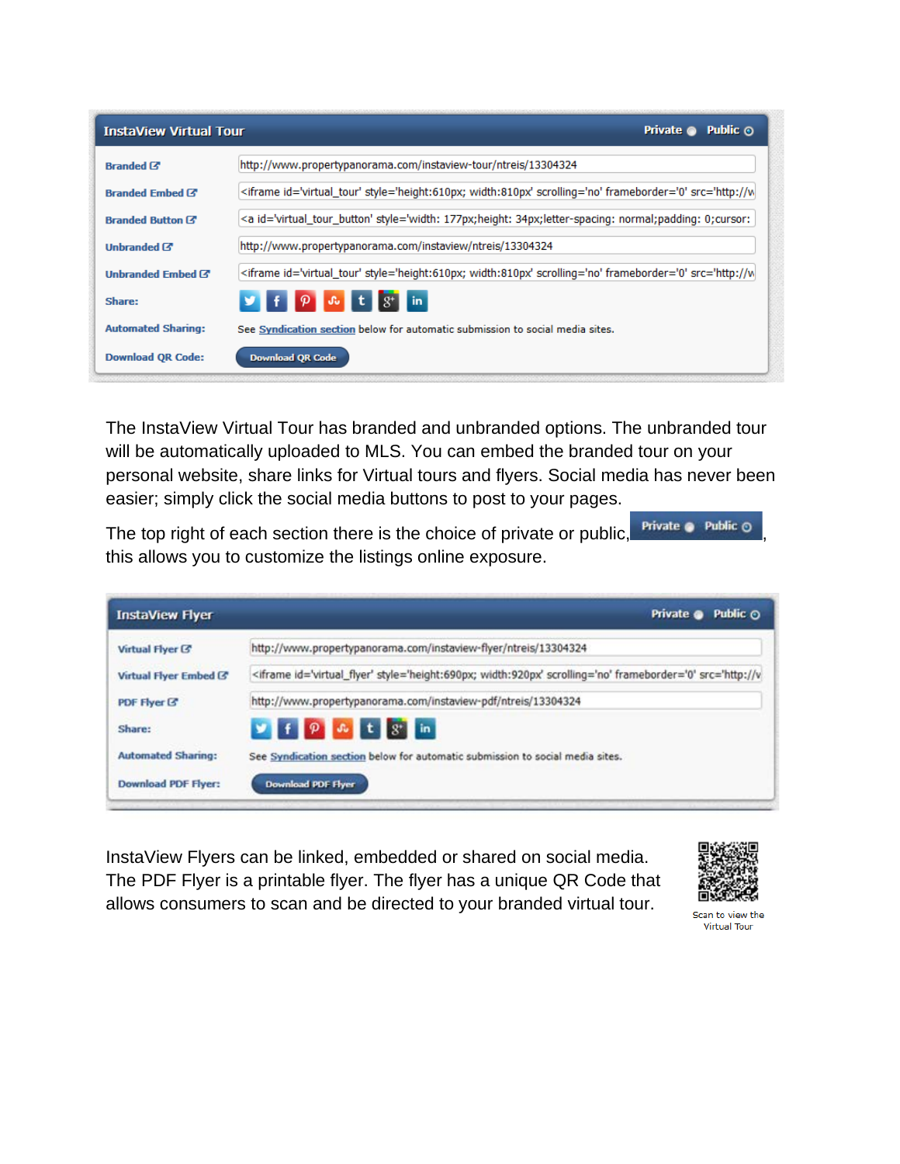| <b>InstaView Virtual Tour</b> | <b>Private ©</b><br>Public ⊙                                                                                  |
|-------------------------------|---------------------------------------------------------------------------------------------------------------|
| <b>Branded &amp;</b>          | http://www.propertypanorama.com/instaview-tour/ntreis/13304324                                                |
| Branded Embed C               | <iframe id='virtual_tour' style='height:610px; width:810px' scrolling='no' frameborder='0' src='http://w</td> |
| <b>Branded Button Z</b>       | <a id='virtual_tour_button' style='width: 177px;height: 34px;letter-spacing: normal;padding: 0;cursor:</td>   |
| Unbranded <sup>7</sup>        | http://www.propertypanorama.com/instaview/ntreis/13304324                                                     |
| Unbranded Embed &             | <iframe id='virtual_tour' style='height:610px; width:810px' scrolling='no' frameborder='0' src='http://w</td> |
| Share:                        | $f$ $\varphi$ $\alpha$ t $s$ in                                                                               |
| <b>Automated Sharing:</b>     | See Syndication section below for automatic submission to social media sites.                                 |
| <b>Download QR Code:</b>      | <b>Download QR Code</b>                                                                                       |

The InstaView Virtual Tour has branded and unbranded options. The unbranded tour will be automatically uploaded to MLS. You can embed the branded tour on your personal website, share links for Virtual tours and flyers. Social media has never been easier; simply click the social media buttons to post to your pages.

The top right of each section there is the choice of private or public,  $\frac{\text{Private } \bullet \text{ Public } \bullet}{\text{Public } \bullet \text{ Object}}$ this allows you to customize the listings online exposure.

| <b>InstaView Flyer</b>      | Private @<br>Public $\odot$                                                                                    |
|-----------------------------|----------------------------------------------------------------------------------------------------------------|
| Virtual Flyer <sup>(3</sup> | http://vww.propertypanorama.com/instaview-flyer/ntreis/13304324                                                |
| Virtual Flyer Embed (3)     | <iframe id='virtual_flyer' style='height:690px; width:920px' scrolling='no' frameborder='0' src='http://v</td> |
| PDF Flyer G                 | http://www.propertypanorama.com/instaview-pdf/ntreis/13304324                                                  |
| Share:                      | y f p & t g in                                                                                                 |
| <b>Automated Sharing:</b>   | See Syndication section below for automatic submission to social media sites.                                  |
| <b>Download PDF Flyer:</b>  | Download PDF Flyer                                                                                             |

InstaView Flyers can be linked, embedded or shared on social media. The PDF Flyer is a printable flyer. The flyer has a unique QR Code that allows consumers to scan and be directed to your branded virtual tour.



Scan to view the **Virtual Tour**